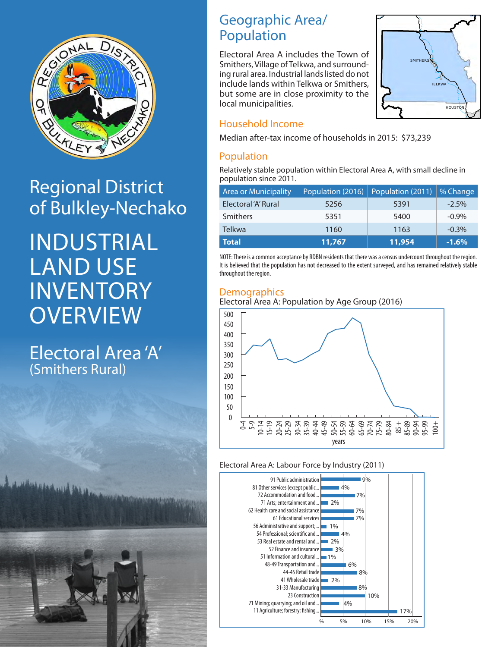

# Regional District of Bulkley-Nechako

INDUSTRIAL LAND USE INVENTORY **OVERVIEW** 

Electoral Area 'A' (Smithers Rural)

### Geographic Area/ Population

Electoral Area A includes the Town of Smithers, Village of Telkwa, and surrounding rural area. Industrial lands listed do not include lands within Telkwa or Smithers, but some are in close proximity to the local municipalities.



### Household Income

Median after-tax income of households in 2015: \$73,239

### Population

Relatively stable population within Electoral Area A, with small decline in population since 2011.

| <b>Area or Municipality</b> | Population (2011)   % Change<br>Population (2016) |        |          |
|-----------------------------|---------------------------------------------------|--------|----------|
| Electoral 'A' Rural         | 5391<br>5256                                      |        | $-2.5%$  |
| Smithers                    | 5351                                              | 5400   | $-0.9\%$ |
| <b>Telkwa</b>               | 1160                                              | 1163   | $-0.3%$  |
| <b>Total</b>                | 11,767                                            | 11,954 | $-1.6%$  |

NOTE: There is a common acceptance by RDBN residents that there was a census undercount throughout the region. It is believed that the population has not decreased to the extent surveyed, and has remained relatively stable throughout the region.

### **Demographics**





#### Electoral Area A: Labour Force by Industry (2011)

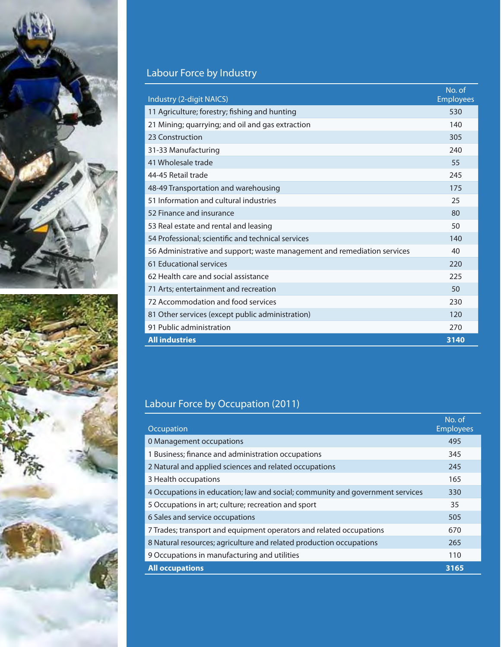



## Labour Force by Industry

| Industry (2-digit NAICS)                                                 | No. of<br><b>Employees</b> |  |
|--------------------------------------------------------------------------|----------------------------|--|
| 11 Agriculture; forestry; fishing and hunting                            | 530                        |  |
| 21 Mining; quarrying; and oil and gas extraction                         | 140                        |  |
| 23 Construction                                                          | 305                        |  |
| 31-33 Manufacturing                                                      | 240                        |  |
| 41 Wholesale trade                                                       | 55                         |  |
| 44-45 Retail trade                                                       | 245                        |  |
| 48-49 Transportation and warehousing                                     | 175                        |  |
| 51 Information and cultural industries                                   | 25                         |  |
| 52 Finance and insurance                                                 | 80                         |  |
| 53 Real estate and rental and leasing                                    | 50                         |  |
| 54 Professional; scientific and technical services                       |                            |  |
| 56 Administrative and support; waste management and remediation services |                            |  |
| 61 Educational services                                                  | 220                        |  |
| 62 Health care and social assistance                                     | 225                        |  |
| 71 Arts; entertainment and recreation                                    | 50                         |  |
| 72 Accommodation and food services                                       | 230                        |  |
| 81 Other services (except public administration)                         | 120                        |  |
| 91 Public administration                                                 | 270                        |  |
| <b>All industries</b>                                                    | 3140                       |  |

## Labour Force by Occupation (2011)

| Occupation                                                                    | No. of<br><b>Employees</b> |
|-------------------------------------------------------------------------------|----------------------------|
| 0 Management occupations                                                      | 495                        |
| 1 Business; finance and administration occupations                            | 345                        |
| 2 Natural and applied sciences and related occupations                        | 245                        |
| 3 Health occupations                                                          | 165                        |
| 4 Occupations in education; law and social; community and government services | 330                        |
| 5 Occupations in art; culture; recreation and sport                           | 35                         |
| 6 Sales and service occupations                                               | 505                        |
| 7 Trades; transport and equipment operators and related occupations           | 670                        |
| 8 Natural resources; agriculture and related production occupations           | 265                        |
| 9 Occupations in manufacturing and utilities                                  | 110                        |
| <b>All occupations</b>                                                        | 3165                       |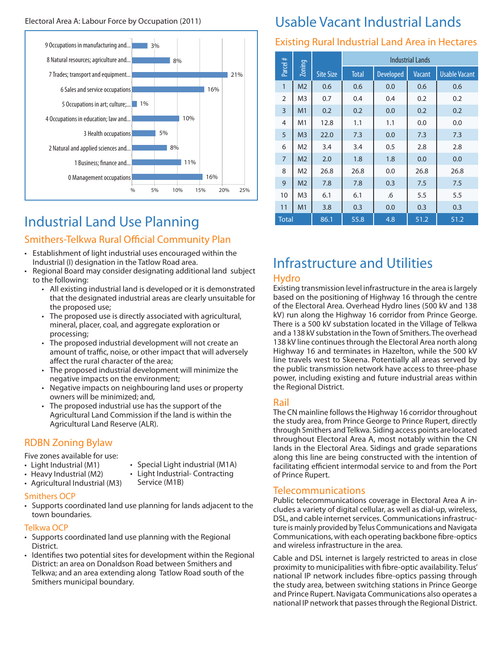

# Industrial Land Use Planning

### Smithers-Telkwa Rural Official Community Plan

- Establishment of light industrial uses encouraged within the Industrial (I) designation in the Tatlow Road area.
- Regional Board may consider designating additional land subject to the following:
	- All existing industrial land is developed or it is demonstrated that the designated industrial areas are clearly unsuitable for the proposed use;
	- The proposed use is directly associated with agricultural, mineral, placer, coal, and aggregate exploration or processing;
	- The proposed industrial development will not create an amount of traffic, noise, or other impact that will adversely affect the rural character of the area;
	- The proposed industrial development will minimize the negative impacts on the environment;
	- Negative impacts on neighbouring land uses or property owners will be minimized; and,
	- The proposed industrial use has the support of the Agricultural Land Commission if the land is within the Agricultural Land Reserve (ALR).

### RDBN Zoning Bylaw

Five zones available for use:

- Light Industrial (M1)
- Heavy Industrial (M2) • Agricultural Industrial (M3)
- Light Industrial- Contracting

• Special Light industrial (M1A)

Service (M1B)

### Smithers OCP

• Supports coordinated land use planning for lands adjacent to the town boundaries.

#### Telkwa OCP

- Supports coordinated land use planning with the Regional District.
- Identifies two potential sites for development within the Regional District: an area on Donaldson Road between Smithers and Telkwa; and an area extending along Tatlow Road south of the Smithers municipal boundary.

# Usable Vacant Industrial Lands

### Existing Rural Industrial Land Area in Hectares

|                |                |                  | <b>Industrial Lands</b> |                  |        |                      |
|----------------|----------------|------------------|-------------------------|------------------|--------|----------------------|
| Parcel #       | $Z$ oning      | <b>Site Size</b> | <b>Total</b>            | <b>Developed</b> | Vacant | <b>Usable Vacant</b> |
| $\mathbf{1}$   | M <sub>2</sub> | 0.6              | 0.6                     | 0.0              | 0.6    | 0.6                  |
| $\overline{2}$ | M <sub>3</sub> | 0.7              | 0.4                     | 0.4              | 0.2    | 0.2                  |
| 3              | M <sub>1</sub> | 0.2              | 0.2                     | 0.0              | 0.2    | 0.2                  |
| $\overline{4}$ | M <sub>1</sub> | 12.8             | 1.1                     | 1.1              | 0.0    | 0.0                  |
| 5              | M <sub>3</sub> | 22.0             | 7.3                     | 0.0              | 7.3    | 7.3                  |
| 6              | M <sub>2</sub> | 3.4              | 3.4                     | 0.5              | 2.8    | 2.8                  |
| $\overline{7}$ | M <sub>2</sub> | 2.0              | 1.8                     | 1.8              | 0.0    | 0.0                  |
| 8              | M <sub>2</sub> | 26.8             | 26.8                    | 0.0              | 26.8   | 26.8                 |
| 9              | M <sub>2</sub> | 7.8              | 7.8                     | 0.3              | 7.5    | 7.5                  |
| 10             | M <sub>3</sub> | 6.1              | 6.1                     | .6               | 5.5    | 5.5                  |
| 11             | M <sub>1</sub> | 3.8              | 0.3                     | 0.0              | 0.3    | 0.3                  |
| <b>Total</b>   |                | 86.1             | 55.8                    | 4.8              | 51.2   | 51.2                 |

# Infrastructure and Utilities

### Hydro

Existing transmission level infrastructure in the area is largely based on the positioning of Highway 16 through the centre of the Electoral Area. Overhead Hydro lines (500 kV and 138 kV) run along the Highway 16 corridor from Prince George. There is a 500 kV substation located in the Village of Telkwa and a 138 kV substation in the Town of Smithers. The overhead 138 kV line continues through the Electoral Area north along Highway 16 and terminates in Hazelton, while the 500 kV line travels west to Skeena. Potentially all areas served by the public transmission network have access to three-phase power, including existing and future industrial areas within the Regional District.

### Rail

The CN mainline follows the Highway 16 corridor throughout the study area, from Prince George to Prince Rupert, directly through Smithers and Telkwa. Siding access points are located throughout Electoral Area A, most notably within the CN lands in the Electoral Area. Sidings and grade separations along this line are being constructed with the intention of facilitating efficient intermodal service to and from the Port of Prince Rupert.

### Telecommunications

Public telecommunications coverage in Electoral Area A includes a variety of digital cellular, as well as dial-up, wireless, DSL, and cable internet services. Communications infrastructure is mainly provided by Telus Communications and Navigata Communications, with each operating backbone fibre-optics and wireless infrastructure in the area.

Cable and DSL internet is largely restricted to areas in close proximity to municipalities with fibre-optic availability. Telus' national IP network includes fibre-optics passing through the study area, between switching stations in Prince George and Prince Rupert. Navigata Communications also operates a national IP network that passes through the Regional District.